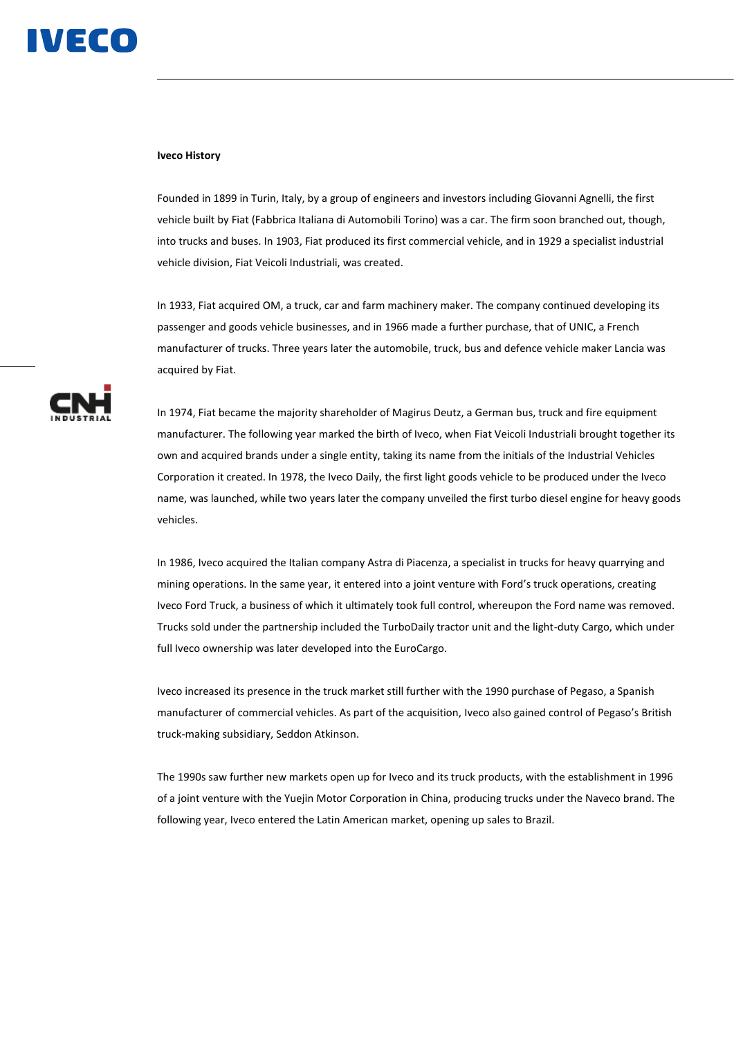

## **Iveco History**

Founded in 1899 in Turin, Italy, by a group of engineers and investors including Giovanni Agnelli, the first vehicle built by Fiat (Fabbrica Italiana di Automobili Torino) was a car. The firm soon branched out, though, into trucks and buses. In 1903, Fiat produced its first commercial vehicle, and in 1929 a specialist industrial vehicle division, Fiat Veicoli Industriali, was created.

In 1933, Fiat acquired OM, a truck, car and farm machinery maker. The company continued developing its passenger and goods vehicle businesses, and in 1966 made a further purchase, that of UNIC, a French manufacturer of trucks. Three years later the automobile, truck, bus and defence vehicle maker Lancia was acquired by Fiat.



In 1974, Fiat became the majority shareholder of Magirus Deutz, a German bus, truck and fire equipment manufacturer. The following year marked the birth of Iveco, when Fiat Veicoli Industriali brought together its own and acquired brands under a single entity, taking its name from the initials of the Industrial Vehicles Corporation it created. In 1978, the Iveco Daily, the first light goods vehicle to be produced under the Iveco name, was launched, while two years later the company unveiled the first turbo diesel engine for heavy goods vehicles.

In 1986, Iveco acquired the Italian company Astra di Piacenza, a specialist in trucks for heavy quarrying and mining operations. In the same year, it entered into a joint venture with Ford's truck operations, creating Iveco Ford Truck, a business of which it ultimately took full control, whereupon the Ford name was removed. Trucks sold under the partnership included the TurboDaily tractor unit and the light-duty Cargo, which under full Iveco ownership was later developed into the EuroCargo.

Iveco increased its presence in the truck market still further with the 1990 purchase of Pegaso, a Spanish manufacturer of commercial vehicles. As part of the acquisition, Iveco also gained control of Pegaso's British truck-making subsidiary, Seddon Atkinson.

The 1990s saw further new markets open up for Iveco and its truck products, with the establishment in 1996 of a joint venture with the Yuejin Motor Corporation in China, producing trucks under the Naveco brand. The following year, Iveco entered the Latin American market, opening up sales to Brazil.